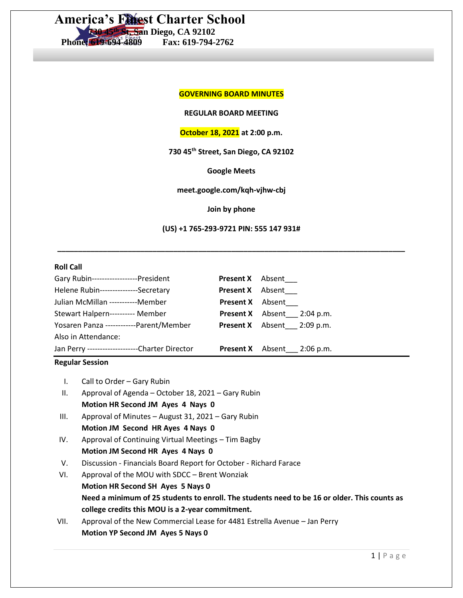**America's Finest Charter School**

 **730 45th St, San Diego, CA 92102 Phone: 619-694-4809** 

### **GOVERNING BOARD MINUTES**

#### **REGULAR BOARD MEETING**

## **October 18, 2021 at 2:00 p.m.**

**730 45th Street, San Diego, CA 92102**

**Google Meets**

**meet.google.com/kqh-vjhw-cbj**

**Join by phone**

**(US) +1 765-293-9721 PIN: 555 147 931#**

**\_\_\_\_\_\_\_\_\_\_\_\_\_\_\_\_\_\_\_\_\_\_\_\_\_\_\_\_\_\_\_\_\_\_\_\_\_\_\_\_\_\_\_\_\_\_\_\_\_\_\_\_\_\_\_\_\_\_\_\_\_\_\_\_\_\_\_\_\_\_\_\_\_\_\_\_\_\_\_\_\_\_\_\_**

## **Roll Call**

| Gary Rubin------------------President           | <b>Present X</b> Absent           |
|-------------------------------------------------|-----------------------------------|
| Helene Rubin---------------Secretary            | <b>Present X</b> Absent           |
| Julian McMillan -----------Member               | <b>Present X</b> Absent           |
| Stewart Halpern---------- Member                | <b>Present X</b> Absent 2:04 p.m. |
| Yosaren Panza ------------Parent/Member         | <b>Present X</b> Absent 2:09 p.m. |
| Also in Attendance:                             |                                   |
| Jan Perry ---------------------Charter Director | <b>Present X</b> Absent 2:06 p.m. |

## **Regular Session**

I. Call to Order – Gary Rubin

II. Approval of Agenda – October 18, 2021 – Gary Rubin **Motion HR Second JM Ayes 4 Nays 0**

- III. Approval of Minutes August 31, 2021 Gary Rubin **Motion JM Second HR Ayes 4 Nays 0**
- IV. Approval of Continuing Virtual Meetings Tim Bagby
	- **Motion JM Second HR Ayes 4 Nays 0**
- V. Discussion Financials Board Report for October Richard Farace
- VI. Approval of the MOU with SDCC Brent Wonziak **Motion HR Second SH Ayes 5 Nays 0 Need a minimum of 25 students to enroll. The students need to be 16 or older. This counts as college credits this MOU is a 2-year commitment.**
- VII. Approval of the New Commercial Lease for 4481 Estrella Avenue Jan Perry **Motion YP Second JM Ayes 5 Nays 0**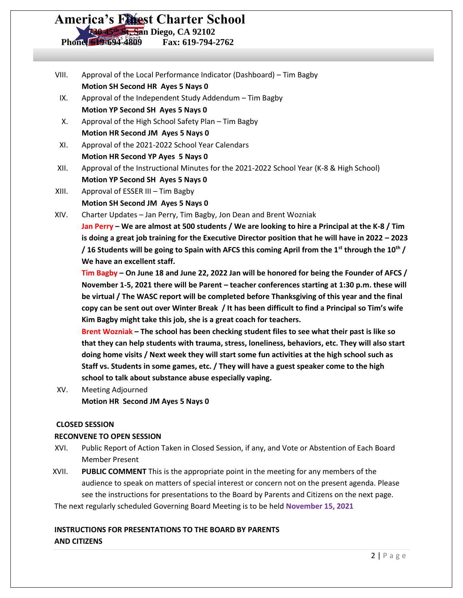# **America's Finest Charter School**

 **730 45th St, San Diego, CA 92102**

**Phone: 619-694-4809** 

- VIII. Approval of the Local Performance Indicator (Dashboard) Tim Bagby **Motion SH Second HR Ayes 5 Nays 0**
- IX. Approval of the Independent Study Addendum Tim Bagby **Motion YP Second SH Ayes 5 Nays 0**
- X. Approval of the High School Safety Plan Tim Bagby **Motion HR Second JM Ayes 5 Nays 0**
- XI. Approval of the 2021-2022 School Year Calendars **Motion HR Second YP Ayes 5 Nays 0**
- XII. Approval of the Instructional Minutes for the 2021-2022 School Year (K-8 & High School) **Motion YP Second SH Ayes 5 Nays 0**
- XIII. Approval of ESSER III Tim Bagby **Motion SH Second JM Ayes 5 Nays 0**
- XIV. Charter Updates Jan Perry, Tim Bagby, Jon Dean and Brent Wozniak

**Jan Perry – We are almost at 500 students / We are looking to hire a Principal at the K-8 / Tim is doing a great job training for the Executive Director position that he will have in 2022 – 2023 / 16 Students will be going to Spain with AFCS this coming April from the 1st through the 10th / We have an excellent staff.**

**Tim Bagby – On June 18 and June 22, 2022 Jan will be honored for being the Founder of AFCS / November 1-5, 2021 there will be Parent – teacher conferences starting at 1:30 p.m. these will be virtual / The WASC report will be completed before Thanksgiving of this year and the final copy can be sent out over Winter Break / It has been difficult to find a Principal so Tim's wife Kim Bagby might take this job, she is a great coach for teachers.**

**Brent Wozniak – The school has been checking student files to see what their past is like so that they can help students with trauma, stress, loneliness, behaviors, etc. They will also start doing home visits / Next week they will start some fun activities at the high school such as Staff vs. Students in some games, etc. / They will have a guest speaker come to the high school to talk about substance abuse especially vaping.**

XV. Meeting Adjourned **Motion HR Second JM Ayes 5 Nays 0**

## **CLOSED SESSION**

## **RECONVENE TO OPEN SESSION**

- XVI. Public Report of Action Taken in Closed Session, if any, and Vote or Abstention of Each Board Member Present
- XVII. **PUBLIC COMMENT** This is the appropriate point in the meeting for any members of the audience to speak on matters of special interest or concern not on the present agenda. Please see the instructions for presentations to the Board by Parents and Citizens on the next page.

The next regularly scheduled Governing Board Meeting is to be held **November 15, 2021**

# **INSTRUCTIONS FOR PRESENTATIONS TO THE BOARD BY PARENTS AND CITIZENS**